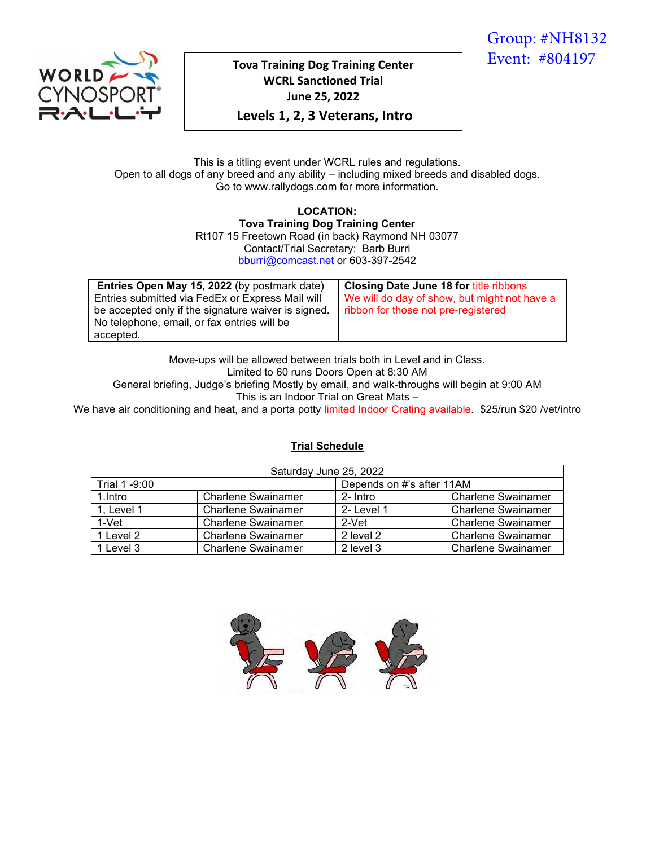Group: #NH8132 Event: #804197

# **Tova Training Dog Training Center WCRL Sanctioned Trial June 25, 2022**

**Levels 1, 2, 3 Veterans, Intro**

#### This is a titling event under WCRL rules and regulations. Open to all dogs of any breed and any ability – including mixed breeds and disabled dogs. Go to www.rallydogs.com for more information.

**LOCATION: Tova Training Dog Training Center** Rt107 15 Freetown Road (in back) Raymond NH 03077 Contact/Trial Secretary: Barb Burri [bburri@comcast.net](mailto:bburri@comcast.net) or 603-397-2542

| Entries Open May 15, 2022 (by postmark date)        | Closing Date June 18 for title ribbons       |
|-----------------------------------------------------|----------------------------------------------|
| Entries submitted via FedEx or Express Mail will    | We will do day of show, but might not have a |
| be accepted only if the signature waiver is signed. | ribbon for those not pre-registered          |
| No telephone, email, or fax entries will be         |                                              |
| accepted.                                           |                                              |

Move-ups will be allowed between trials both in Level and in Class. Limited to 60 runs Doors Open at 8:30 AM General briefing, Judge's briefing Mostly by email, and walk-throughs will begin at 9:00 AM

This is an Indoor Trial on Great Mats –

We have air conditioning and heat, and a porta potty limited Indoor Crating available. \$25/run \$20 /vet/intro

## **Trial Schedule**

| Saturday June 25, 2022 |                           |                           |                           |  |  |  |
|------------------------|---------------------------|---------------------------|---------------------------|--|--|--|
| Trial 1 -9:00          |                           | Depends on #'s after 11AM |                           |  |  |  |
| 1.Intro                | <b>Charlene Swainamer</b> | 2- Intro                  | <b>Charlene Swainamer</b> |  |  |  |
| 1, Level 1             | <b>Charlene Swainamer</b> | 2- Level 1                | <b>Charlene Swainamer</b> |  |  |  |
| $1-Vet$                | <b>Charlene Swainamer</b> | 2-Vet                     | <b>Charlene Swainamer</b> |  |  |  |
| 1 Level 2              | <b>Charlene Swainamer</b> | 2 level 2                 | <b>Charlene Swainamer</b> |  |  |  |
| 1 Level 3              | <b>Charlene Swainamer</b> | 2 level 3                 | <b>Charlene Swainamer</b> |  |  |  |

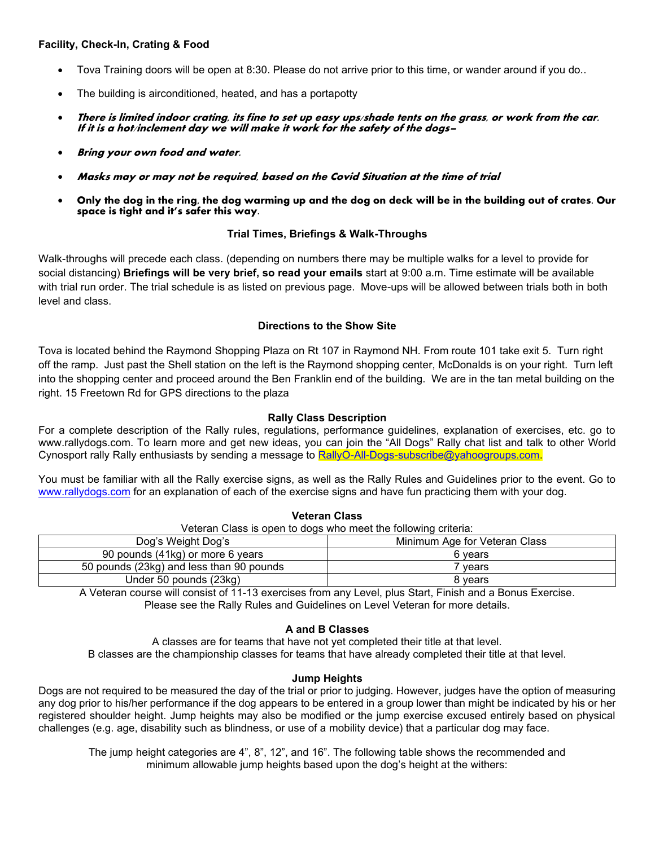#### **Facility, Check-In, Crating & Food**

- Tova Training doors will be open at 8:30. Please do not arrive prior to this time, or wander around if you do..
- The building is airconditioned, heated, and has a portapotty
- There is limited indoor crating, its fine to set up easy ups/shade tents on the grass, or work from the car. If it is a hot/inclement day we will make it work for the safety of the dogs–
- Bring your own food and water.
- Masks may or may not be required, based on the Covid Situation at the time of trial
- Only the dog in the ring, the dog warming up and the dog on deck will be in the building out of crates. Our space is tight and it's safer this way.

#### **Trial Times, Briefings & Walk-Throughs**

Walk-throughs will precede each class. (depending on numbers there may be multiple walks for a level to provide for social distancing) **Briefings will be very brief, so read your emails** start at 9:00 a.m. Time estimate will be available with trial run order. The trial schedule is as listed on previous page. Move-ups will be allowed between trials both in both level and class.

### **Directions to the Show Site**

Tova is located behind the Raymond Shopping Plaza on Rt 107 in Raymond NH. From route 101 take exit 5. Turn right off the ramp. Just past the Shell station on the left is the Raymond shopping center, McDonalds is on your right. Turn left into the shopping center and proceed around the Ben Franklin end of the building. We are in the tan metal building on the right. 15 Freetown Rd for GPS directions to the plaza

### **Rally Class Description**

For a complete description of the Rally rules, regulations, performance guidelines, explanation of exercises, etc. go to www.rallydogs.com. To learn more and get new ideas, you can join the "All Dogs" Rally chat list and talk to other World Cynosport rally Rally enthusiasts by sending a message to [RallyO-All-Dogs-subscribe@yahoogroups.com.](mailto:RallyO-All-Dogs-subscribe@yahoogroups.com)

You must be familiar with all the Rally exercise signs, as well as the Rally Rules and Guidelines prior to the event. Go to [www.rallydogs.com](http://www.rallydogs.com/) for an explanation of each of the exercise signs and have fun practicing them with your dog.

**Veteran Class**

| Veteran Class is open to dogs who meet the following criteria: |         |  |  |  |  |
|----------------------------------------------------------------|---------|--|--|--|--|
| Minimum Age for Veteran Class<br>Dog's Weight Dog's            |         |  |  |  |  |
| 90 pounds (41kg) or more 6 years                               | 6 vears |  |  |  |  |
| 50 pounds (23kg) and less than 90 pounds                       | ' vears |  |  |  |  |
| Under 50 pounds (23kg)                                         | 8 vears |  |  |  |  |

A Veteran course will consist of 11-13 exercises from any Level, plus Start, Finish and a Bonus Exercise. Please see the Rally Rules and Guidelines on Level Veteran for more details.

#### **A and B Classes**

A classes are for teams that have not yet completed their title at that level. B classes are the championship classes for teams that have already completed their title at that level.

#### **Jump Heights**

Dogs are not required to be measured the day of the trial or prior to judging. However, judges have the option of measuring any dog prior to his/her performance if the dog appears to be entered in a group lower than might be indicated by his or her registered shoulder height. Jump heights may also be modified or the jump exercise excused entirely based on physical challenges (e.g. age, disability such as blindness, or use of a mobility device) that a particular dog may face.

The jump height categories are 4", 8", 12", and 16". The following table shows the recommended and minimum allowable jump heights based upon the dog's height at the withers: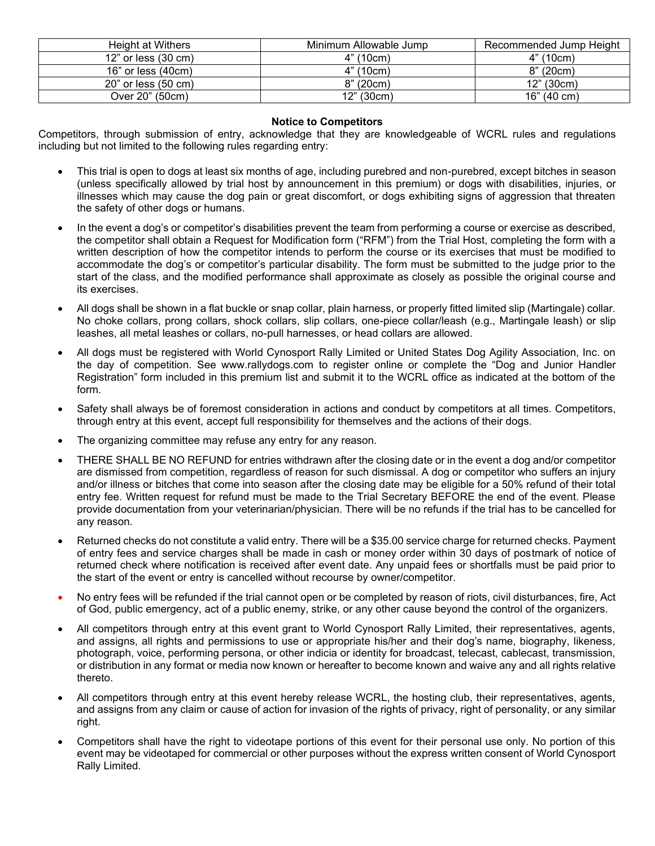| Height at Withers               | Minimum Allowable Jump | Recommended Jump Height |
|---------------------------------|------------------------|-------------------------|
| $12"$ or less $(30 \text{ cm})$ | 4" (10cm)              | 4" (10cm)               |
| $16"$ or less $(40cm)$          | 4" (10cm)              | 8" (20cm)               |
| 20" or less (50 cm)             | 8" (20cm)              | 12" (30cm)              |
| Over 20" (50cm)                 | 12" (30cm)             | 16" (40 cm)             |

#### **Notice to Competitors**

Competitors, through submission of entry, acknowledge that they are knowledgeable of WCRL rules and regulations including but not limited to the following rules regarding entry:

- This trial is open to dogs at least six months of age, including purebred and non-purebred, except bitches in season (unless specifically allowed by trial host by announcement in this premium) or dogs with disabilities, injuries, or illnesses which may cause the dog pain or great discomfort, or dogs exhibiting signs of aggression that threaten the safety of other dogs or humans.
- In the event a dog's or competitor's disabilities prevent the team from performing a course or exercise as described, the competitor shall obtain a Request for Modification form ("RFM") from the Trial Host, completing the form with a written description of how the competitor intends to perform the course or its exercises that must be modified to accommodate the dog's or competitor's particular disability. The form must be submitted to the judge prior to the start of the class, and the modified performance shall approximate as closely as possible the original course and its exercises.
- All dogs shall be shown in a flat buckle or snap collar, plain harness, or properly fitted limited slip (Martingale) collar. No choke collars, prong collars, shock collars, slip collars, one-piece collar/leash (e.g., Martingale leash) or slip leashes, all metal leashes or collars, no-pull harnesses, or head collars are allowed.
- All dogs must be registered with World Cynosport Rally Limited or United States Dog Agility Association, Inc. on the day of competition. See www.rallydogs.com to register online or complete the "Dog and Junior Handler Registration" form included in this premium list and submit it to the WCRL office as indicated at the bottom of the form.
- Safety shall always be of foremost consideration in actions and conduct by competitors at all times. Competitors, through entry at this event, accept full responsibility for themselves and the actions of their dogs.
- The organizing committee may refuse any entry for any reason.
- THERE SHALL BE NO REFUND for entries withdrawn after the closing date or in the event a dog and/or competitor are dismissed from competition, regardless of reason for such dismissal. A dog or competitor who suffers an injury and/or illness or bitches that come into season after the closing date may be eligible for a 50% refund of their total entry fee. Written request for refund must be made to the Trial Secretary BEFORE the end of the event. Please provide documentation from your veterinarian/physician. There will be no refunds if the trial has to be cancelled for any reason.
- Returned checks do not constitute a valid entry. There will be a \$35.00 service charge for returned checks. Payment of entry fees and service charges shall be made in cash or money order within 30 days of postmark of notice of returned check where notification is received after event date. Any unpaid fees or shortfalls must be paid prior to the start of the event or entry is cancelled without recourse by owner/competitor.
- No entry fees will be refunded if the trial cannot open or be completed by reason of riots, civil disturbances, fire, Act of God, public emergency, act of a public enemy, strike, or any other cause beyond the control of the organizers.
- All competitors through entry at this event grant to World Cynosport Rally Limited, their representatives, agents, and assigns, all rights and permissions to use or appropriate his/her and their dog's name, biography, likeness, photograph, voice, performing persona, or other indicia or identity for broadcast, telecast, cablecast, transmission, or distribution in any format or media now known or hereafter to become known and waive any and all rights relative thereto.
- All competitors through entry at this event hereby release WCRL, the hosting club, their representatives, agents, and assigns from any claim or cause of action for invasion of the rights of privacy, right of personality, or any similar right.
- Competitors shall have the right to videotape portions of this event for their personal use only. No portion of this event may be videotaped for commercial or other purposes without the express written consent of World Cynosport Rally Limited.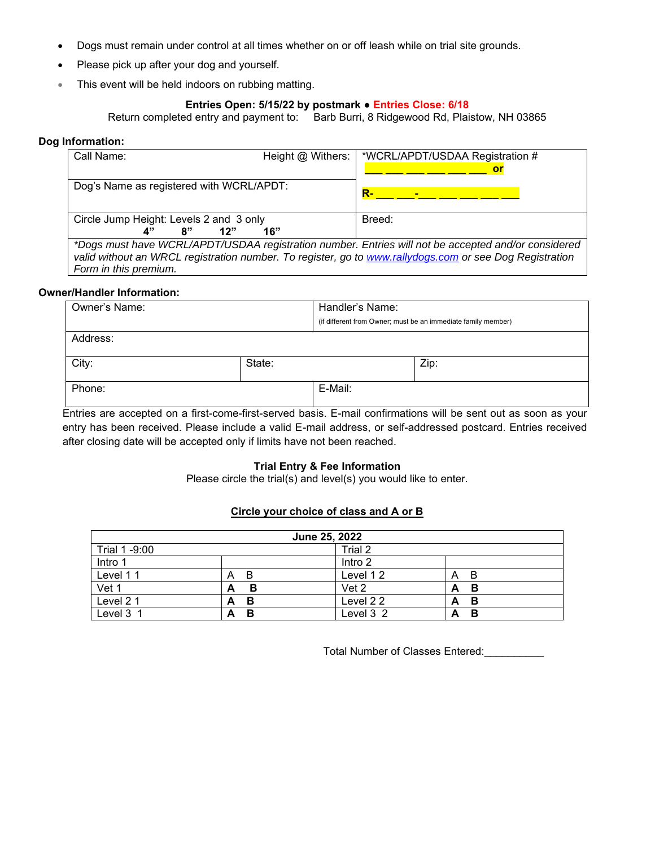- Dogs must remain under control at all times whether on or off leash while on trial site grounds.
- Please pick up after your dog and yourself.
- This event will be held indoors on rubbing matting.

#### **Entries Open: 5/15/22 by postmark ● Entries Close: 6/18**

Return completed entry and payment to: Barb Burri, 8 Ridgewood Rd, Plaistow, NH 03865

#### **Dog Information:**

| Call Name:                               | Height @ Withers: | *WCRL/APDT/USDAA Registration #                                                                                                                                                                                |
|------------------------------------------|-------------------|----------------------------------------------------------------------------------------------------------------------------------------------------------------------------------------------------------------|
|                                          |                   | or                                                                                                                                                                                                             |
| Dog's Name as registered with WCRL/APDT: |                   | <b>R-</b>                                                                                                                                                                                                      |
| Circle Jump Height: Levels 2 and 3 only  |                   | Breed:                                                                                                                                                                                                         |
| 8"                                       | 16"               |                                                                                                                                                                                                                |
| Form in this premium.                    |                   | *Dogs must have WCRL/APDT/USDAA registration number. Entries will not be accepted and/or considered<br>valid without an WRCL registration number. To register, go to www.rallydogs.com or see Dog Registration |

#### **Owner/Handler Information:**

| Owner's Name:<br>Handler's Name: |        |                                                               |      |
|----------------------------------|--------|---------------------------------------------------------------|------|
|                                  |        | (if different from Owner; must be an immediate family member) |      |
| Address:                         |        |                                                               |      |
| City:                            | State: |                                                               | Zip: |
| Phone:                           |        | E-Mail:                                                       |      |

Entries are accepted on a first-come-first-served basis. E-mail confirmations will be sent out as soon as your entry has been received. Please include a valid E-mail address, or self-addressed postcard. Entries received after closing date will be accepted only if limits have not been reached.

## **Trial Entry & Fee Information**

Please circle the trial(s) and level(s) you would like to enter.

#### **Circle your choice of class and A or B**

| June 25, 2022 |         |           |         |  |  |  |
|---------------|---------|-----------|---------|--|--|--|
| Trial 1 -9:00 | Trial 2 |           |         |  |  |  |
| Intro 1       | Intro 2 |           |         |  |  |  |
| Level 11      | B<br>A  | Level 12  | -B<br>A |  |  |  |
| Vet 1         | в<br>А  | Vet 2     | В<br>A  |  |  |  |
| Level 21      | В<br>Α  | Level 22  | В<br>A  |  |  |  |
| Level 3 1     | В<br>А  | Level 3 2 | в<br>А  |  |  |  |

Total Number of Classes Entered:\_\_\_\_\_\_\_\_\_\_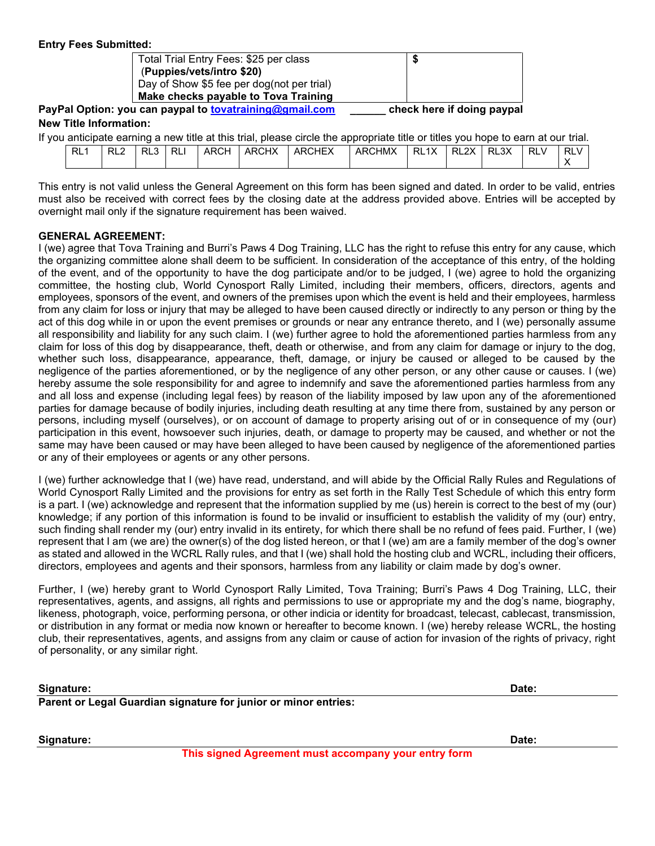| Total Trial Entry Fees: \$25 per class                                                                                                                                                                                        |                                                        |  |
|-------------------------------------------------------------------------------------------------------------------------------------------------------------------------------------------------------------------------------|--------------------------------------------------------|--|
| (Puppies/vets/intro \$20)                                                                                                                                                                                                     |                                                        |  |
| Day of Show \$5 fee per dog(not per trial)                                                                                                                                                                                    |                                                        |  |
| Make checks payable to Tova Training                                                                                                                                                                                          |                                                        |  |
| and the community of the state of the basic form of the community of the community of the community of the community of the community of the community of the community of the community of the community of the community of | a bara a babbara a canal da babbara a canala a shekara |  |

**PayPal Option: you can paypal to [tovatraining@gmail.com](mailto:tovatraining@gmail.com) \_\_\_\_\_\_ check here if doing paypal New Title Information:**

|     |       |            |      |       | If you anticipate earning a new title at this trial, please circle the appropriate title or titles you hope to earn at our trial. |        |      |            |            |            |
|-----|-------|------------|------|-------|-----------------------------------------------------------------------------------------------------------------------------------|--------|------|------------|------------|------------|
| RL1 | $RL3$ | <b>RLI</b> | ARCH | ARCHX | <b>ARCHEX</b>                                                                                                                     | ARCHMX | RL1X | $R2X$ RL3X | <b>RLV</b> | <b>RLV</b> |
|     |       |            |      |       |                                                                                                                                   |        |      |            |            |            |

This entry is not valid unless the General Agreement on this form has been signed and dated. In order to be valid, entries must also be received with correct fees by the closing date at the address provided above. Entries will be accepted by overnight mail only if the signature requirement has been waived.

#### **GENERAL AGREEMENT:**

I (we) agree that Tova Training and Burri's Paws 4 Dog Training, LLC has the right to refuse this entry for any cause, which the organizing committee alone shall deem to be sufficient. In consideration of the acceptance of this entry, of the holding of the event, and of the opportunity to have the dog participate and/or to be judged, I (we) agree to hold the organizing committee, the hosting club, World Cynosport Rally Limited, including their members, officers, directors, agents and employees, sponsors of the event, and owners of the premises upon which the event is held and their employees, harmless from any claim for loss or injury that may be alleged to have been caused directly or indirectly to any person or thing by the act of this dog while in or upon the event premises or grounds or near any entrance thereto, and I (we) personally assume all responsibility and liability for any such claim. I (we) further agree to hold the aforementioned parties harmless from any claim for loss of this dog by disappearance, theft, death or otherwise, and from any claim for damage or injury to the dog, whether such loss, disappearance, appearance, theft, damage, or injury be caused or alleged to be caused by the negligence of the parties aforementioned, or by the negligence of any other person, or any other cause or causes. I (we) hereby assume the sole responsibility for and agree to indemnify and save the aforementioned parties harmless from any and all loss and expense (including legal fees) by reason of the liability imposed by law upon any of the aforementioned parties for damage because of bodily injuries, including death resulting at any time there from, sustained by any person or persons, including myself (ourselves), or on account of damage to property arising out of or in consequence of my (our) participation in this event, howsoever such injuries, death, or damage to property may be caused, and whether or not the same may have been caused or may have been alleged to have been caused by negligence of the aforementioned parties or any of their employees or agents or any other persons.

I (we) further acknowledge that I (we) have read, understand, and will abide by the Official Rally Rules and Regulations of World Cynosport Rally Limited and the provisions for entry as set forth in the Rally Test Schedule of which this entry form is a part. I (we) acknowledge and represent that the information supplied by me (us) herein is correct to the best of my (our) knowledge; if any portion of this information is found to be invalid or insufficient to establish the validity of my (our) entry, such finding shall render my (our) entry invalid in its entirety, for which there shall be no refund of fees paid. Further, I (we) represent that I am (we are) the owner(s) of the dog listed hereon, or that I (we) am are a family member of the dog's owner as stated and allowed in the WCRL Rally rules, and that I (we) shall hold the hosting club and WCRL, including their officers, directors, employees and agents and their sponsors, harmless from any liability or claim made by dog's owner.

Further, I (we) hereby grant to World Cynosport Rally Limited, Tova Training; Burri's Paws 4 Dog Training, LLC, their representatives, agents, and assigns, all rights and permissions to use or appropriate my and the dog's name, biography, likeness, photograph, voice, performing persona, or other indicia or identity for broadcast, telecast, cablecast, transmission, or distribution in any format or media now known or hereafter to become known. I (we) hereby release WCRL, the hosting club, their representatives, agents, and assigns from any claim or cause of action for invasion of the rights of privacy, right of personality, or any similar right.

| Signature:                                                      | Date: |
|-----------------------------------------------------------------|-------|
| Parent or Legal Guardian signature for junior or minor entries: |       |

**Signature: Date:** 

**This signed Agreement must accompany your entry form**